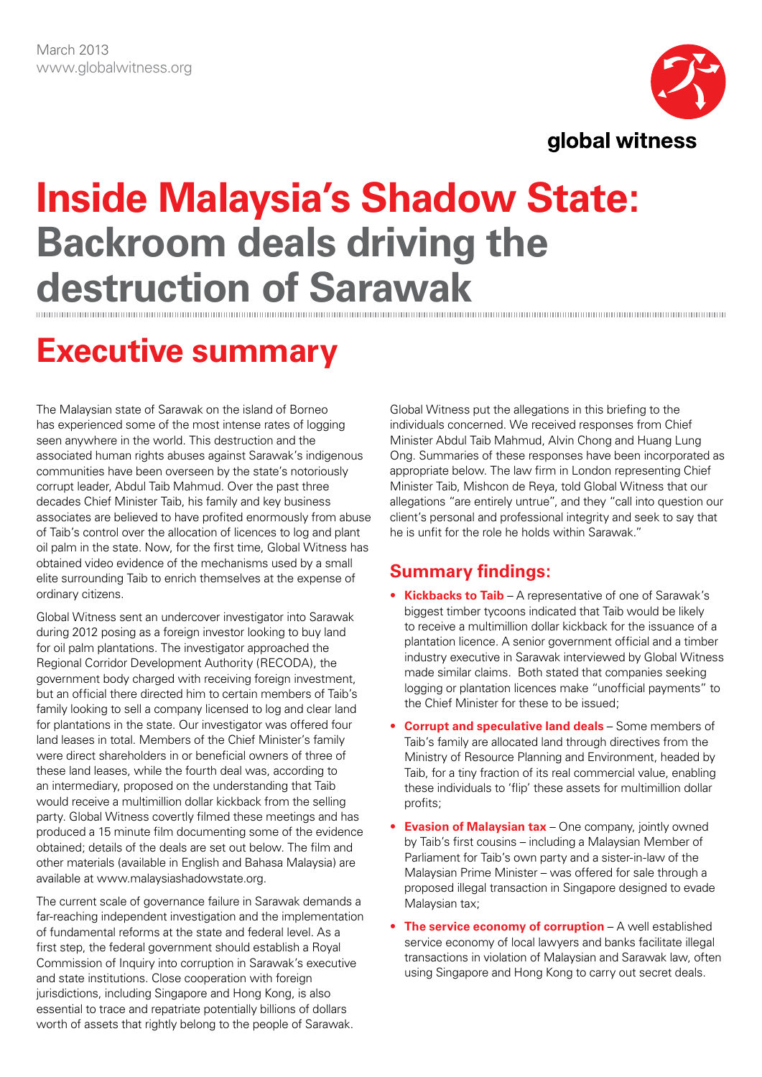

# **Inside Malaysia's Shadow State: Backroom deals driving the destruction of Sarawak**

## **Executive summary**

The Malaysian state of Sarawak on the island of Borneo has experienced some of the most intense rates of logging seen anywhere in the world. This destruction and the associated human rights abuses against Sarawak's indigenous communities have been overseen by the state's notoriously corrupt leader, Abdul Taib Mahmud. Over the past three decades Chief Minister Taib, his family and key business associates are believed to have profited enormously from abuse of Taib's control over the allocation of licences to log and plant oil palm in the state. Now, for the first time, Global Witness has obtained video evidence of the mechanisms used by a small elite surrounding Taib to enrich themselves at the expense of ordinary citizens.

Global Witness sent an undercover investigator into Sarawak during 2012 posing as a foreign investor looking to buy land for oil palm plantations. The investigator approached the Regional Corridor Development Authority (RECODA), the government body charged with receiving foreign investment, but an official there directed him to certain members of Taib's family looking to sell a company licensed to log and clear land for plantations in the state. Our investigator was offered four land leases in total. Members of the Chief Minister's family were direct shareholders in or beneficial owners of three of these land leases, while the fourth deal was, according to an intermediary, proposed on the understanding that Taib would receive a multimillion dollar kickback from the selling party. Global Witness covertly filmed these meetings and has produced a 15 minute film documenting some of the evidence obtained; details of the deals are set out below. The film and other materials (available in English and Bahasa Malaysia) are available at www.malaysiashadowstate.org.

The current scale of governance failure in Sarawak demands a far-reaching independent investigation and the implementation of fundamental reforms at the state and federal level. As a first step, the federal government should establish a Royal Commission of Inquiry into corruption in Sarawak's executive and state institutions. Close cooperation with foreign jurisdictions, including Singapore and Hong Kong, is also essential to trace and repatriate potentially billions of dollars worth of assets that rightly belong to the people of Sarawak.

Global Witness put the allegations in this briefing to the individuals concerned. We received responses from Chief Minister Abdul Taib Mahmud, Alvin Chong and Huang Lung Ong. Summaries of these responses have been incorporated as appropriate below. The law firm in London representing Chief Minister Taib, Mishcon de Reya, told Global Witness that our allegations "are entirely untrue", and they "call into question our client's personal and professional integrity and seek to say that he is unfit for the role he holds within Sarawak."

### **Summary findings:**

- • **Kickbacks to Taib** A representative of one of Sarawak's biggest timber tycoons indicated that Taib would be likely to receive a multimillion dollar kickback for the issuance of a plantation licence. A senior government official and a timber industry executive in Sarawak interviewed by Global Witness made similar claims. Both stated that companies seeking logging or plantation licences make "unofficial payments" to the Chief Minister for these to be issued;
- • **Corrupt and speculative land deals** Some members of Taib's family are allocated land through directives from the Ministry of Resource Planning and Environment, headed by Taib, for a tiny fraction of its real commercial value, enabling these individuals to 'flip' these assets for multimillion dollar profits;
- **Evasion of Malaysian tax** One company, jointly owned by Taib's first cousins – including a Malaysian Member of Parliament for Taib's own party and a sister-in-law of the Malaysian Prime Minister – was offered for sale through a proposed illegal transaction in Singapore designed to evade Malaysian tax;
- **The service economy of corruption** A well established service economy of local lawyers and banks facilitate illegal transactions in violation of Malaysian and Sarawak law, often using Singapore and Hong Kong to carry out secret deals.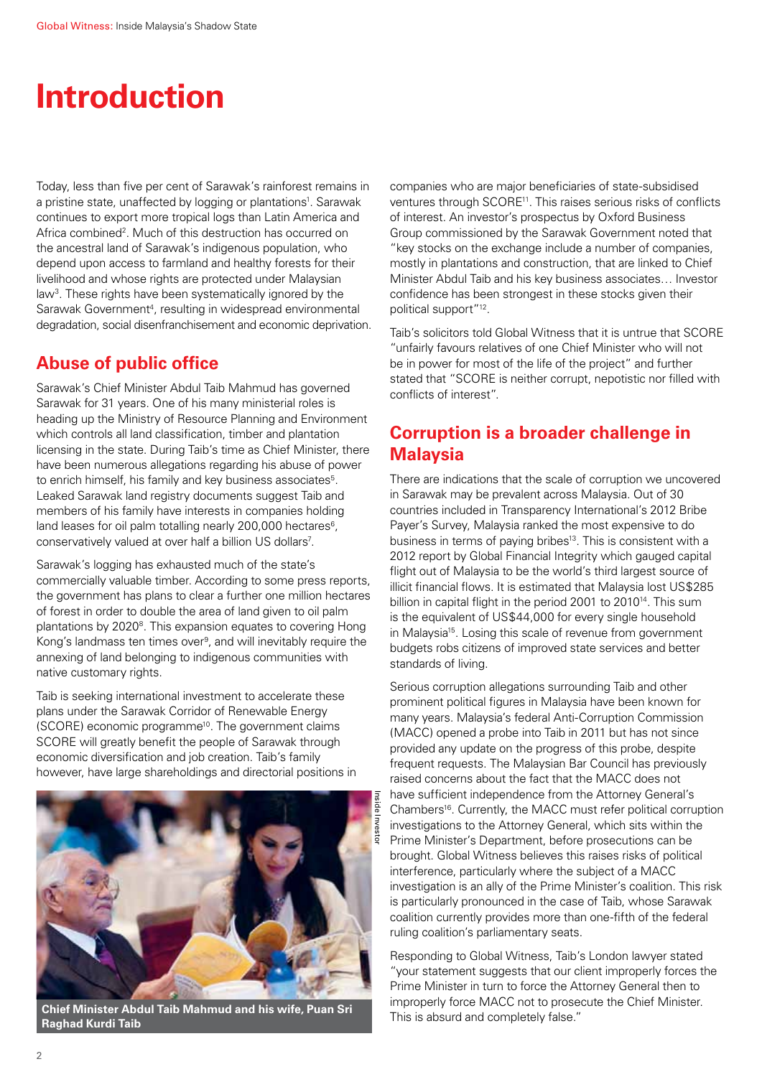## **Introduction**

Today, less than five per cent of Sarawak's rainforest remains in a pristine state, unaffected by logging or plantations<sup>1</sup>. Sarawak continues to export more tropical logs than Latin America and Africa combined<sup>2</sup>. Much of this destruction has occurred on the ancestral land of Sarawak's indigenous population, who depend upon access to farmland and healthy forests for their livelihood and whose rights are protected under Malaysian law3. These rights have been systematically ignored by the Sarawak Government<sup>4</sup>, resulting in widespread environmental degradation, social disenfranchisement and economic deprivation.

### **Abuse of public office**

Sarawak's Chief Minister Abdul Taib Mahmud has governed Sarawak for 31 years. One of his many ministerial roles is heading up the Ministry of Resource Planning and Environment which controls all land classification, timber and plantation licensing in the state. During Taib's time as Chief Minister, there have been numerous allegations regarding his abuse of power to enrich himself, his family and key business associates<sup>5</sup>. Leaked Sarawak land registry documents suggest Taib and members of his family have interests in companies holding land leases for oil palm totalling nearly 200,000 hectares $6$ . conservatively valued at over half a billion US dollars<sup>7</sup>.

Sarawak's logging has exhausted much of the state's commercially valuable timber. According to some press reports, the government has plans to clear a further one million hectares of forest in order to double the area of land given to oil palm plantations by 2020<sup>8</sup>. This expansion equates to covering Hong Kong's landmass ten times over<sup>9</sup>, and will inevitably require the annexing of land belonging to indigenous communities with native customary rights.

Taib is seeking international investment to accelerate these plans under the Sarawak Corridor of Renewable Energy (SCORE) economic programme10. The government claims SCORE will greatly benefit the people of Sarawak through economic diversification and job creation. Taib's family however, have large shareholdings and directorial positions in



**Chief Minister Abdul Taib Mahmud and his wife, Puan Sri This is absurd and completely false."**<br>"This is absurd and completely false." **Raghad Kurdi Taib**

companies who are major beneficiaries of state-subsidised ventures through SCORE<sup>11</sup>. This raises serious risks of conflicts of interest. An investor's prospectus by Oxford Business Group commissioned by the Sarawak Government noted that "key stocks on the exchange include a number of companies, mostly in plantations and construction, that are linked to Chief Minister Abdul Taib and his key business associates… Investor confidence has been strongest in these stocks given their political support"12.

Taib's solicitors told Global Witness that it is untrue that SCORE "unfairly favours relatives of one Chief Minister who will not be in power for most of the life of the project" and further stated that "SCORE is neither corrupt, nepotistic nor filled with conflicts of interest".

### **Corruption is a broader challenge in Malaysia**

There are indications that the scale of corruption we uncovered in Sarawak may be prevalent across Malaysia. Out of 30 countries included in Transparency International's 2012 Bribe Payer's Survey, Malaysia ranked the most expensive to do business in terms of paying bribes<sup>13</sup>. This is consistent with a 2012 report by Global Financial Integrity which gauged capital flight out of Malaysia to be the world's third largest source of illicit financial flows. It is estimated that Malaysia lost US\$285 billion in capital flight in the period 2001 to 2010<sup>14</sup>. This sum is the equivalent of US\$44,000 for every single household in Malaysia<sup>15</sup>. Losing this scale of revenue from government budgets robs citizens of improved state services and better standards of living.

Serious corruption allegations surrounding Taib and other prominent political figures in Malaysia have been known for many years. Malaysia's federal Anti-Corruption Commission (MACC) opened a probe into Taib in 2011 but has not since provided any update on the progress of this probe, despite frequent requests. The Malaysian Bar Council has previously raised concerns about the fact that the MACC does not have sufficient independence from the Attorney General's Chambers<sup>16</sup>. Currently, the MACC must refer political corruption investigations to the Attorney General, which sits within the Prime Minister's Department, before prosecutions can be brought. Global Witness believes this raises risks of political interference, particularly where the subject of a MACC investigation is an ally of the Prime Minister's coalition. This risk is particularly pronounced in the case of Taib, whose Sarawak coalition currently provides more than one-fifth of the federal ruling coalition's parliamentary seats.

Responding to Global Witness, Taib's London lawyer stated "your statement suggests that our client improperly forces the Prime Minister in turn to force the Attorney General then to improperly force MACC not to prosecute the Chief Minister.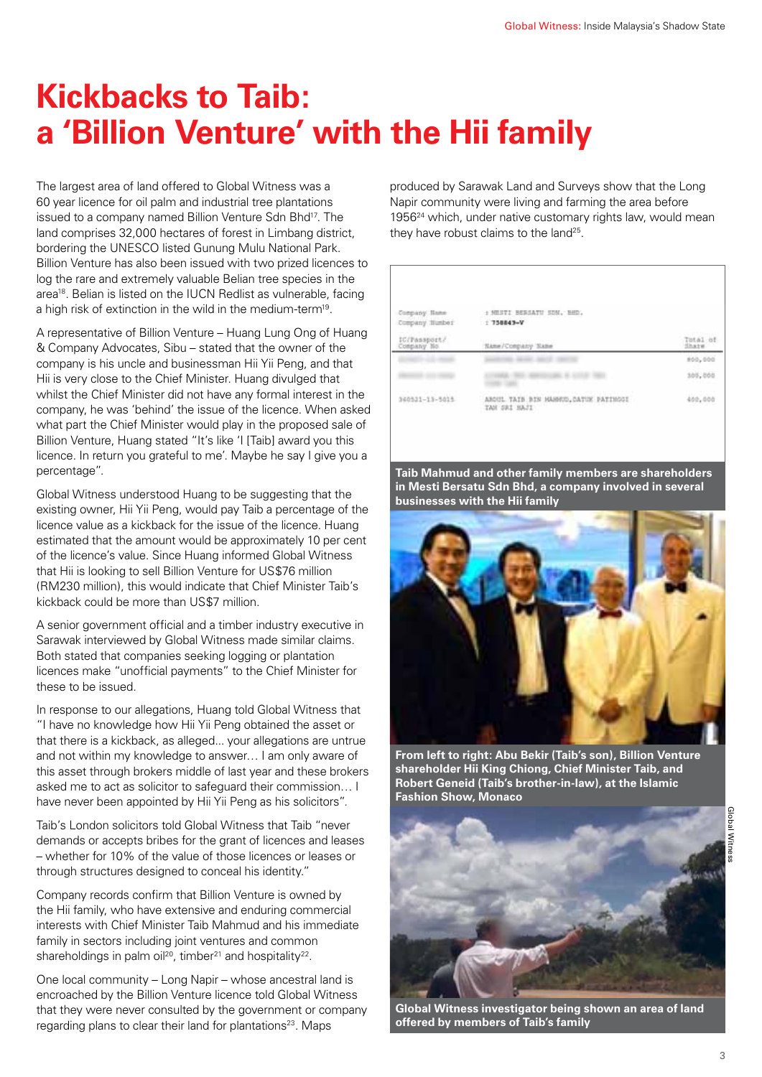## **Kickbacks to Taib: a 'Billion Venture' with the Hii family**

The largest area of land offered to Global Witness was a 60 year licence for oil palm and industrial tree plantations issued to a company named Billion Venture Sdn Bhd<sup>17</sup>. The land comprises 32,000 hectares of forest in Limbang district, bordering the UNESCO listed Gunung Mulu National Park. Billion Venture has also been issued with two prized licences to log the rare and extremely valuable Belian tree species in the area<sup>18</sup>. Belian is listed on the IUCN Redlist as vulnerable, facing a high risk of extinction in the wild in the medium-term<sup>19</sup>.

A representative of Billion Venture – Huang Lung Ong of Huang & Company Advocates, Sibu – stated that the owner of the company is his uncle and businessman Hii Yii Peng, and that Hii is very close to the Chief Minister. Huang divulged that whilst the Chief Minister did not have any formal interest in the company, he was 'behind' the issue of the licence. When asked what part the Chief Minister would play in the proposed sale of Billion Venture, Huang stated "It's like 'I [Taib] award you this licence. In return you grateful to me'. Maybe he say I give you a percentage".

Global Witness understood Huang to be suggesting that the existing owner, Hii Yii Peng, would pay Taib a percentage of the licence value as a kickback for the issue of the licence. Huang estimated that the amount would be approximately 10 per cent of the licence's value. Since Huang informed Global Witness that Hii is looking to sell Billion Venture for US\$76 million (RM230 million), this would indicate that Chief Minister Taib's kickback could be more than US\$7 million.

A senior government official and a timber industry executive in Sarawak interviewed by Global Witness made similar claims. Both stated that companies seeking logging or plantation licences make "unofficial payments" to the Chief Minister for these to be issued.

In response to our allegations, Huang told Global Witness that "I have no knowledge how Hii Yii Peng obtained the asset or that there is a kickback, as alleged... your allegations are untrue and not within my knowledge to answer… I am only aware of this asset through brokers middle of last year and these brokers asked me to act as solicitor to safeguard their commission… I have never been appointed by Hii Yii Peng as his solicitors".

Taib's London solicitors told Global Witness that Taib "never demands or accepts bribes for the grant of licences and leases – whether for 10% of the value of those licences or leases or through structures designed to conceal his identity."

Company records confirm that Billion Venture is owned by the Hii family, who have extensive and enduring commercial interests with Chief Minister Taib Mahmud and his immediate family in sectors including joint ventures and common shareholdings in palm oil<sup>20</sup>, timber<sup>21</sup> and hospitality<sup>22</sup>.

One local community – Long Napir – whose ancestral land is encroached by the Billion Venture licence told Global Witness that they were never consulted by the government or company regarding plans to clear their land for plantations<sup>23</sup>. Maps

produced by Sarawak Land and Surveys show that the Long Napir community were living and farming the area before 1956<sup>24</sup> which, under native customary rights law, would mean they have robust claims to the land<sup>25</sup>.

| Company Hame<br>Company Humber<br>IC/Passport/<br>Company No. | : HESTI BERSATU SIN, BHD.<br>$1750043 - V$             |                  |
|---------------------------------------------------------------|--------------------------------------------------------|------------------|
|                                                               | Same/Company Slate                                     | Total of<br>hare |
|                                                               |                                                        | #00,000          |
|                                                               |                                                        | 300,000          |
| 360521-13-5015                                                | ARDUL TATS BIN HAISKID, DATUK PATINGGI<br>TAN SRI HAJI | 400,000          |

**Taib Mahmud and other family members are shareholders in Mesti Bersatu Sdn Bhd, a company involved in several businesses with the Hii family**



**From left to right: Abu Bekir (Taib's son), Billion Venture shareholder Hii King Chiong, Chief Minister Taib, and Robert Geneid (Taib's brother-in-law), at the Islamic Fashion Show, Monaco**



**Global Witness investigator being shown an area of land offered by members of Taib's family**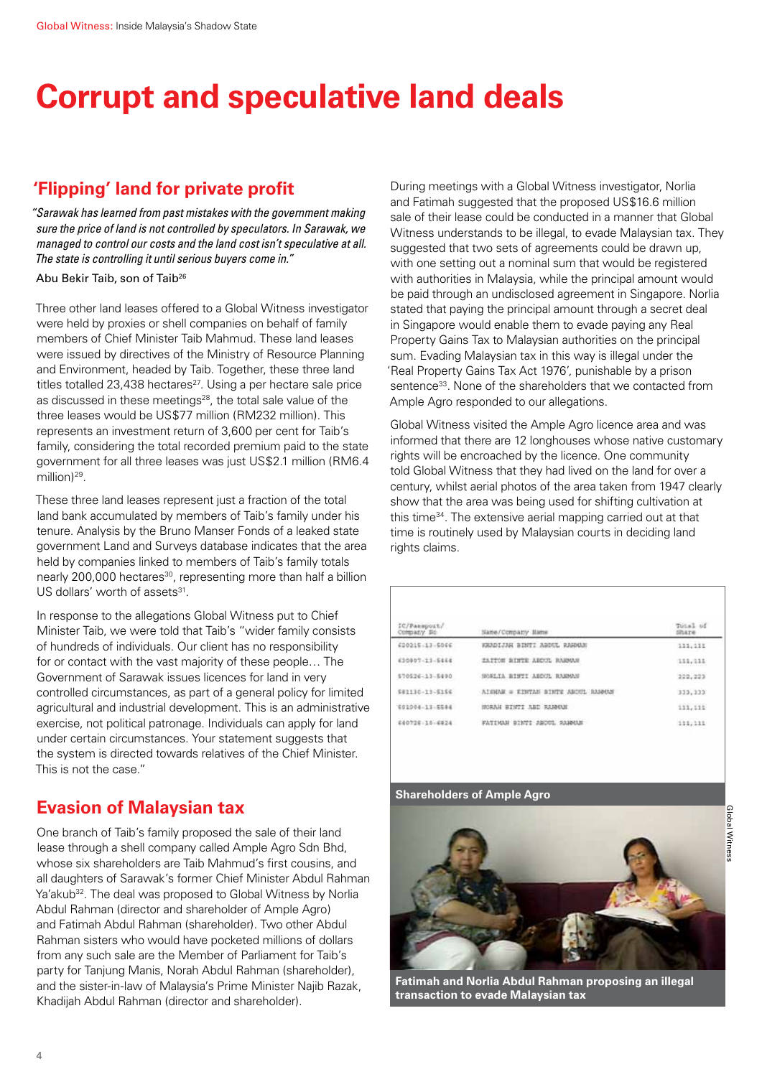## **Corrupt and speculative land deals**

### **'Flipping' land for private profit**

*"Sarawak has learned from past mistakes with the government making sure the price of land is not controlled by speculators. In Sarawak, we managed to control our costs and the land cost isn't speculative at all. The state is controlling it until serious buyers come in."* 

#### Abu Bekir Taib, son of Taib26

Three other land leases offered to a Global Witness investigator were held by proxies or shell companies on behalf of family members of Chief Minister Taib Mahmud. These land leases were issued by directives of the Ministry of Resource Planning and Environment, headed by Taib. Together, these three land titles totalled 23,438 hectares<sup>27</sup>. Using a per hectare sale price as discussed in these meetings<sup>28</sup>, the total sale value of the three leases would be US\$77 million (RM232 million). This represents an investment return of 3,600 per cent for Taib's family, considering the total recorded premium paid to the state government for all three leases was just US\$2.1 million (RM6.4 million)<sup>29</sup>.

These three land leases represent just a fraction of the total land bank accumulated by members of Taib's family under his tenure. Analysis by the Bruno Manser Fonds of a leaked state government Land and Surveys database indicates that the area held by companies linked to members of Taib's family totals nearly 200,000 hectares<sup>30</sup>, representing more than half a billion US dollars' worth of assets<sup>31</sup>.

In response to the allegations Global Witness put to Chief Minister Taib, we were told that Taib's "wider family consists of hundreds of individuals. Our client has no responsibility for or contact with the vast majority of these people… The Government of Sarawak issues licences for land in very controlled circumstances, as part of a general policy for limited agricultural and industrial development. This is an administrative exercise, not political patronage. Individuals can apply for land under certain circumstances. Your statement suggests that the system is directed towards relatives of the Chief Minister. This is not the case."

### **Evasion of Malaysian tax**

One branch of Taib's family proposed the sale of their land lease through a shell company called Ample Agro Sdn Bhd, whose six shareholders are Taib Mahmud's first cousins, and all daughters of Sarawak's former Chief Minister Abdul Rahman Ya'akub<sup>32</sup>. The deal was proposed to Global Witness by Norlia Abdul Rahman (director and shareholder of Ample Agro) and Fatimah Abdul Rahman (shareholder). Two other Abdul Rahman sisters who would have pocketed millions of dollars from any such sale are the Member of Parliament for Taib's party for Tanjung Manis, Norah Abdul Rahman (shareholder), and the sister-in-law of Malaysia's Prime Minister Najib Razak, Khadijah Abdul Rahman (director and shareholder).

During meetings with a Global Witness investigator, Norlia and Fatimah suggested that the proposed US\$16.6 million sale of their lease could be conducted in a manner that Global Witness understands to be illegal, to evade Malaysian tax. They suggested that two sets of agreements could be drawn up, with one setting out a nominal sum that would be registered with authorities in Malaysia, while the principal amount would be paid through an undisclosed agreement in Singapore. Norlia stated that paying the principal amount through a secret deal in Singapore would enable them to evade paying any Real Property Gains Tax to Malaysian authorities on the principal sum. Evading Malaysian tax in this way is illegal under the 'Real Property Gains Tax Act 1976', punishable by a prison sentence<sup>33</sup>. None of the shareholders that we contacted from Ample Agro responded to our allegations.

Global Witness visited the Ample Agro licence area and was informed that there are 12 longhouses whose native customary rights will be encroached by the licence. One community told Global Witness that they had lived on the land for over a century, whilst aerial photos of the area taken from 1947 clearly show that the area was being used for shifting cultivation at this time<sup>34</sup>. The extensive aerial mapping carried out at that time is routinely used by Malaysian courts in deciding land rights claims.

| IC/Passport/<br>Company So                   | Nane/Company Hame                  | Total of<br><b>Share</b> |
|----------------------------------------------|------------------------------------|--------------------------|
| 420215-13-5066                               | WARDIJSK BINTI ABDUL RAHAM         | 111, 111                 |
| 430907-11-5444<br>1996 GUNGARY 124 THAT 2012 | ZAITOM BINTE ABDUL RABOAN          | 111, 111                 |
| 570526-11-5490                               | SORLIA BINTI ABDOL RABMAN          | 220,223                  |
| SR1130-13-5166                               | AIGEAN = EINTAN BINTE ABOUL RAMANY | 333, 333                 |
| 691004-11-5584                               | HORAH BINTI ABD RANGAM             | 111, 111                 |
| 640726-10-6924                               | FATIMAN BINTI ABOUL RANNUE         | 111, 111                 |
|                                              |                                    |                          |

#### **Shareholders of Ample Agro**



**Fatimah and Norlia Abdul Rahman proposing an illegal transaction to evade Malaysian tax**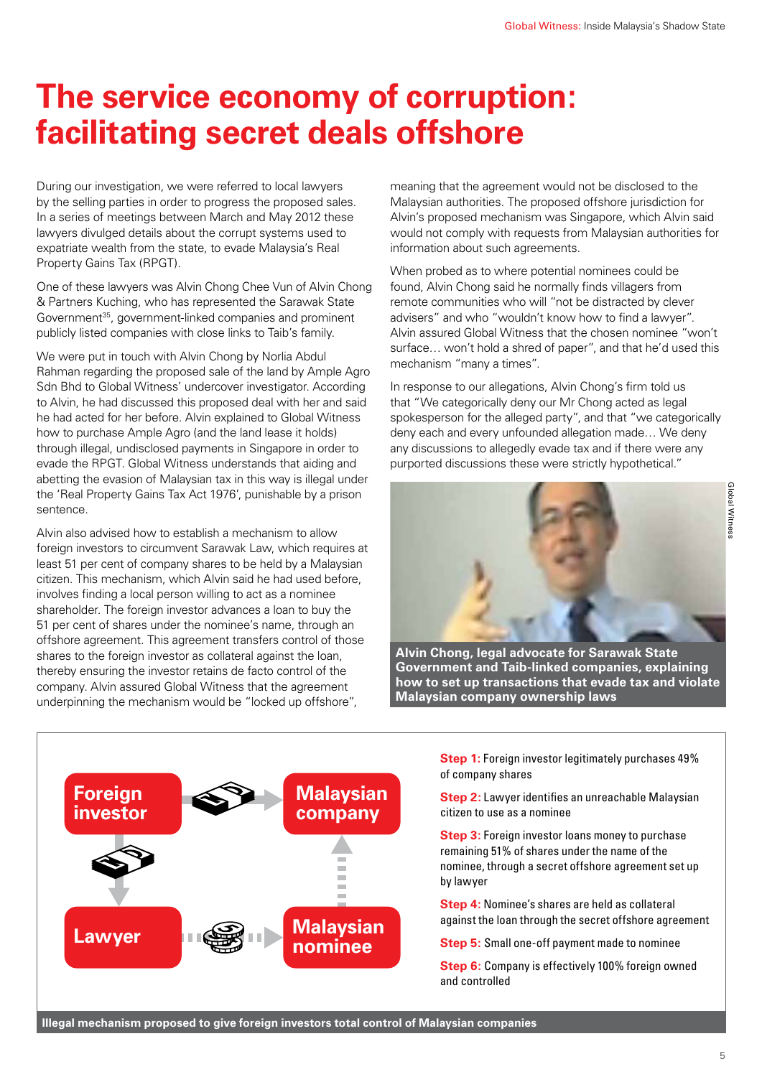## **The service economy of corruption: facilitating secret deals offshore**

During our investigation, we were referred to local lawyers by the selling parties in order to progress the proposed sales. In a series of meetings between March and May 2012 these lawyers divulged details about the corrupt systems used to expatriate wealth from the state, to evade Malaysia's Real Property Gains Tax (RPGT).

One of these lawyers was Alvin Chong Chee Vun of Alvin Chong & Partners Kuching, who has represented the Sarawak State Government<sup>35</sup>, government-linked companies and prominent publicly listed companies with close links to Taib's family.

We were put in touch with Alvin Chong by Norlia Abdul Rahman regarding the proposed sale of the land by Ample Agro Sdn Bhd to Global Witness' undercover investigator. According to Alvin, he had discussed this proposed deal with her and said he had acted for her before. Alvin explained to Global Witness how to purchase Ample Agro (and the land lease it holds) through illegal, undisclosed payments in Singapore in order to evade the RPGT. Global Witness understands that aiding and abetting the evasion of Malaysian tax in this way is illegal under the 'Real Property Gains Tax Act 1976', punishable by a prison sentence.

Alvin also advised how to establish a mechanism to allow foreign investors to circumvent Sarawak Law, which requires at least 51 per cent of company shares to be held by a Malaysian citizen. This mechanism, which Alvin said he had used before, involves finding a local person willing to act as a nominee shareholder. The foreign investor advances a loan to buy the 51 per cent of shares under the nominee's name, through an offshore agreement. This agreement transfers control of those shares to the foreign investor as collateral against the loan. thereby ensuring the investor retains de facto control of the company. Alvin assured Global Witness that the agreement underpinning the mechanism would be "locked up offshore",

meaning that the agreement would not be disclosed to the Malaysian authorities. The proposed offshore jurisdiction for Alvin's proposed mechanism was Singapore, which Alvin said would not comply with requests from Malaysian authorities for information about such agreements.

When probed as to where potential nominees could be found, Alvin Chong said he normally finds villagers from remote communities who will "not be distracted by clever advisers" and who "wouldn't know how to find a lawyer". Alvin assured Global Witness that the chosen nominee "won't surface… won't hold a shred of paper", and that he'd used this mechanism "many a times".

In response to our allegations, Alvin Chong's firm told us that "We categorically deny our Mr Chong acted as legal spokesperson for the alleged party", and that "we categorically deny each and every unfounded allegation made… We deny any discussions to allegedly evade tax and if there were any purported discussions these were strictly hypothetical."



**Alvin Chong, legal advocate for Sarawak State Government and Taib-linked companies, explaining how to set up transactions that evade tax and violate Malaysian company ownership laws**



**Step 1:** Foreign investor legitimately purchases 49% of company shares

**Step 2:** Lawyer identifies an unreachable Malaysian citizen to use as a nominee

**Step 3:** Foreign investor loans money to purchase remaining 51% of shares under the name of the nominee, through a secret offshore agreement set up by lawyer

**Step 4:** Nominee's shares are held as collateral against the loan through the secret offshore agreement

**Step 5:** Small one-off payment made to nominee

**Step 6:** Company is effectively 100% foreign owned and controlled

Global Witnes Global Witness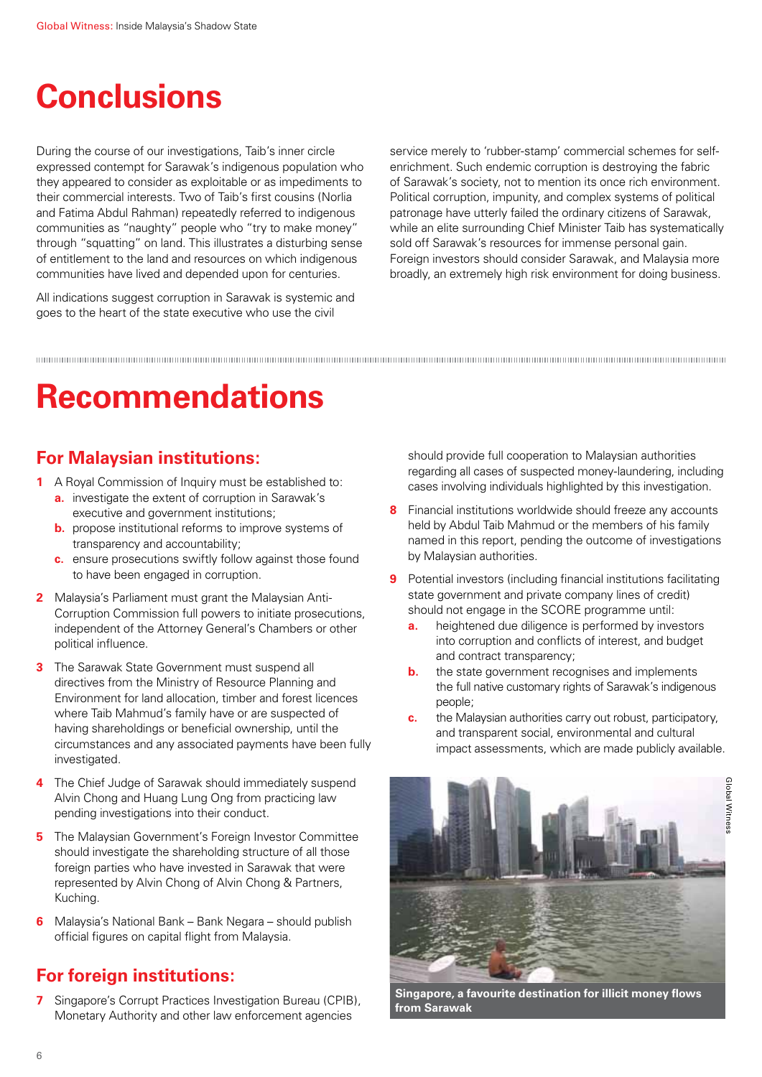## **Conclusions**

During the course of our investigations, Taib's inner circle expressed contempt for Sarawak's indigenous population who they appeared to consider as exploitable or as impediments to their commercial interests. Two of Taib's first cousins (Norlia and Fatima Abdul Rahman) repeatedly referred to indigenous communities as "naughty" people who "try to make money" through "squatting" on land. This illustrates a disturbing sense of entitlement to the land and resources on which indigenous communities have lived and depended upon for centuries.

All indications suggest corruption in Sarawak is systemic and goes to the heart of the state executive who use the civil

service merely to 'rubber-stamp' commercial schemes for selfenrichment. Such endemic corruption is destroying the fabric of Sarawak's society, not to mention its once rich environment. Political corruption, impunity, and complex systems of political patronage have utterly failed the ordinary citizens of Sarawak, while an elite surrounding Chief Minister Taib has systematically sold off Sarawak's resources for immense personal gain. Foreign investors should consider Sarawak, and Malaysia more broadly, an extremely high risk environment for doing business.

## **Recommendations**

### **For Malaysian institutions:**

- **1** A Royal Commission of Inquiry must be established to:
	- **a.** investigate the extent of corruption in Sarawak's executive and government institutions;
	- **b.** propose institutional reforms to improve systems of transparency and accountability;
	- **c.** ensure prosecutions swiftly follow against those found to have been engaged in corruption.
- **2** Malaysia's Parliament must grant the Malaysian Anti-Corruption Commission full powers to initiate prosecutions, independent of the Attorney General's Chambers or other political influence.
- **3** The Sarawak State Government must suspend all directives from the Ministry of Resource Planning and Environment for land allocation, timber and forest licences where Taib Mahmud's family have or are suspected of having shareholdings or beneficial ownership, until the circumstances and any associated payments have been fully investigated.
- **4** The Chief Judge of Sarawak should immediately suspend Alvin Chong and Huang Lung Ong from practicing law pending investigations into their conduct.
- **5** The Malaysian Government's Foreign Investor Committee should investigate the shareholding structure of all those foreign parties who have invested in Sarawak that were represented by Alvin Chong of Alvin Chong & Partners, Kuching.
- **6** Malaysia's National Bank Bank Negara should publish official figures on capital flight from Malaysia.

### **For foreign institutions:**

**7** Singapore's Corrupt Practices Investigation Bureau (CPIB), Monetary Authority and other law enforcement agencies

should provide full cooperation to Malaysian authorities regarding all cases of suspected money-laundering, including cases involving individuals highlighted by this investigation.

- **8** Financial institutions worldwide should freeze any accounts held by Abdul Taib Mahmud or the members of his family named in this report, pending the outcome of investigations by Malaysian authorities.
- **9** Potential investors (including financial institutions facilitating state government and private company lines of credit) should not engage in the SCORE programme until:
	- **a.** heightened due diligence is performed by investors into corruption and conflicts of interest, and budget and contract transparency;
	- **b.** the state government recognises and implements the full native customary rights of Sarawak's indigenous people;
	- **c.** the Malaysian authorities carry out robust, participatory, and transparent social, environmental and cultural impact assessments, which are made publicly available.



**Singapore, a favourite destination for illicit money flows from Sarawak**